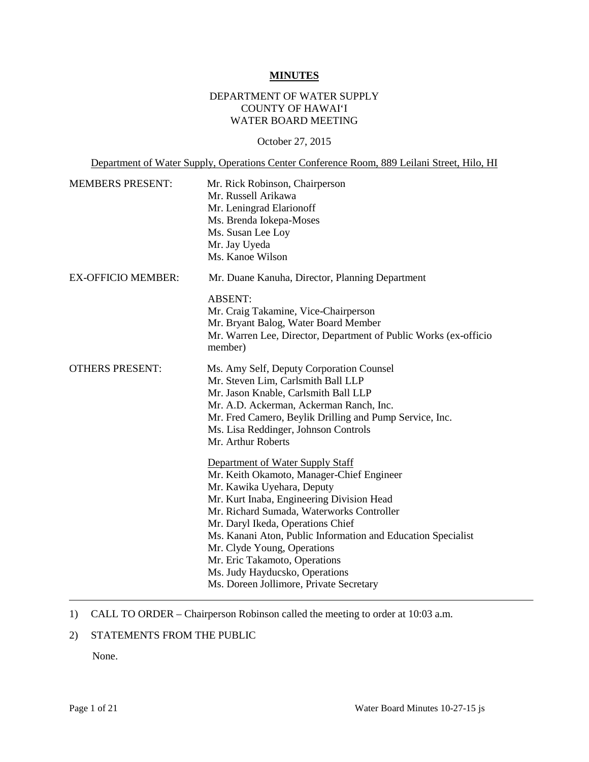#### **MINUTES**

### DEPARTMENT OF WATER SUPPLY COUNTY OF HAWAI'I WATER BOARD MEETING

#### October 27, 2015

Department of Water Supply, Operations Center Conference Room, 889 Leilani Street, Hilo, HI

| <b>MEMBERS PRESENT:</b>   | Mr. Rick Robinson, Chairperson<br>Mr. Russell Arikawa<br>Mr. Leningrad Elarionoff<br>Ms. Brenda Iokepa-Moses<br>Ms. Susan Lee Loy<br>Mr. Jay Uyeda<br>Ms. Kanoe Wilson                                                                                                                                                                                                                                                                                  |
|---------------------------|---------------------------------------------------------------------------------------------------------------------------------------------------------------------------------------------------------------------------------------------------------------------------------------------------------------------------------------------------------------------------------------------------------------------------------------------------------|
| <b>EX-OFFICIO MEMBER:</b> | Mr. Duane Kanuha, Director, Planning Department                                                                                                                                                                                                                                                                                                                                                                                                         |
|                           | <b>ABSENT:</b><br>Mr. Craig Takamine, Vice-Chairperson<br>Mr. Bryant Balog, Water Board Member<br>Mr. Warren Lee, Director, Department of Public Works (ex-officio<br>member)                                                                                                                                                                                                                                                                           |
| <b>OTHERS PRESENT:</b>    | Ms. Amy Self, Deputy Corporation Counsel<br>Mr. Steven Lim, Carlsmith Ball LLP<br>Mr. Jason Knable, Carlsmith Ball LLP<br>Mr. A.D. Ackerman, Ackerman Ranch, Inc.<br>Mr. Fred Camero, Beylik Drilling and Pump Service, Inc.<br>Ms. Lisa Reddinger, Johnson Controls<br>Mr. Arthur Roberts                                                                                                                                                              |
|                           | Department of Water Supply Staff<br>Mr. Keith Okamoto, Manager-Chief Engineer<br>Mr. Kawika Uyehara, Deputy<br>Mr. Kurt Inaba, Engineering Division Head<br>Mr. Richard Sumada, Waterworks Controller<br>Mr. Daryl Ikeda, Operations Chief<br>Ms. Kanani Aton, Public Information and Education Specialist<br>Mr. Clyde Young, Operations<br>Mr. Eric Takamoto, Operations<br>Ms. Judy Hayducsko, Operations<br>Ms. Doreen Jollimore, Private Secretary |

### 1) CALL TO ORDER – Chairperson Robinson called the meeting to order at 10:03 a.m.

### 2) STATEMENTS FROM THE PUBLIC

None.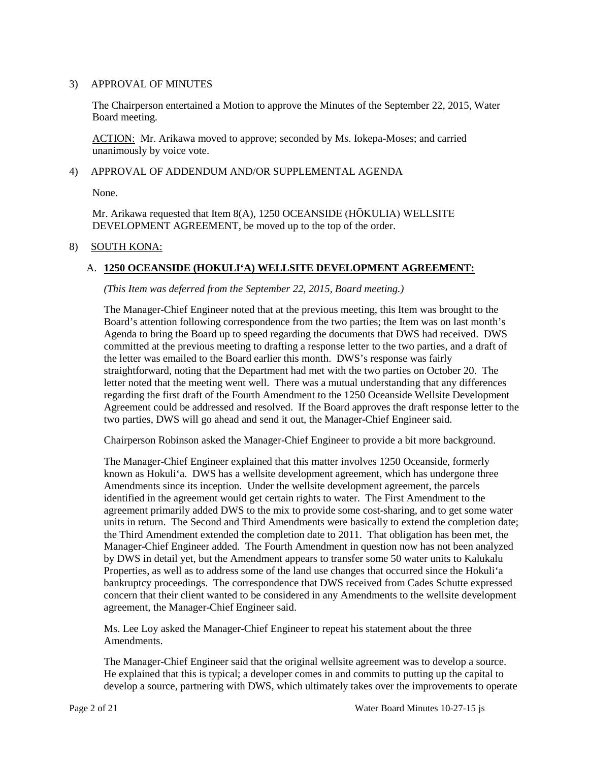### 3) APPROVAL OF MINUTES

 The Chairperson entertained a Motion to approve the Minutes of the September 22, 2015, Water Board meeting.

ACTION: Mr. Arikawa moved to approve; seconded by Ms. Iokepa-Moses; and carried unanimously by voice vote.

#### 4) APPROVAL OF ADDENDUM AND/OR SUPPLEMENTAL AGENDA

None.

 Mr. Arikawa requested that Item 8(A), 1250 OCEANSIDE (HŌKULIA) WELLSITE DEVELOPMENT AGREEMENT, be moved up to the top of the order.

#### 8) SOUTH KONA:

### A. **1250 OCEANSIDE (HOKULI'A) WELLSITE DEVELOPMENT AGREEMENT:**

*(This Item was deferred from the September 22, 2015, Board meeting.)* 

 the letter was emailed to the Board earlier this month. DWS's response was fairly letter noted that the meeting went well. There was a mutual understanding that any differences regarding the first draft of the Fourth Amendment to the 1250 Oceanside Wellsite Development Agreement could be addressed and resolved. If the Board approves the draft response letter to the The Manager-Chief Engineer noted that at the previous meeting, this Item was brought to the Board's attention following correspondence from the two parties; the Item was on last month's Agenda to bring the Board up to speed regarding the documents that DWS had received. DWS committed at the previous meeting to drafting a response letter to the two parties, and a draft of straightforward, noting that the Department had met with the two parties on October 20. The two parties, DWS will go ahead and send it out, the Manager-Chief Engineer said.

Chairperson Robinson asked the Manager-Chief Engineer to provide a bit more background.

 identified in the agreement would get certain rights to water. The First Amendment to the by DWS in detail yet, but the Amendment appears to transfer some 50 water units to Kalukalu Properties, as well as to address some of the land use changes that occurred since the Hokuli'a bankruptcy proceedings. The correspondence that DWS received from Cades Schutte expressed The Manager-Chief Engineer explained that this matter involves 1250 Oceanside, formerly known as Hokuli'a. DWS has a wellsite development agreement, which has undergone three Amendments since its inception. Under the wellsite development agreement, the parcels agreement primarily added DWS to the mix to provide some cost-sharing, and to get some water units in return. The Second and Third Amendments were basically to extend the completion date; the Third Amendment extended the completion date to 2011. That obligation has been met, the Manager-Chief Engineer added. The Fourth Amendment in question now has not been analyzed concern that their client wanted to be considered in any Amendments to the wellsite development agreement, the Manager-Chief Engineer said.

 Ms. Lee Loy asked the Manager-Chief Engineer to repeat his statement about the three Amendments.

The Manager-Chief Engineer said that the original wellsite agreement was to develop a source. He explained that this is typical; a developer comes in and commits to putting up the capital to develop a source, partnering with DWS, which ultimately takes over the improvements to operate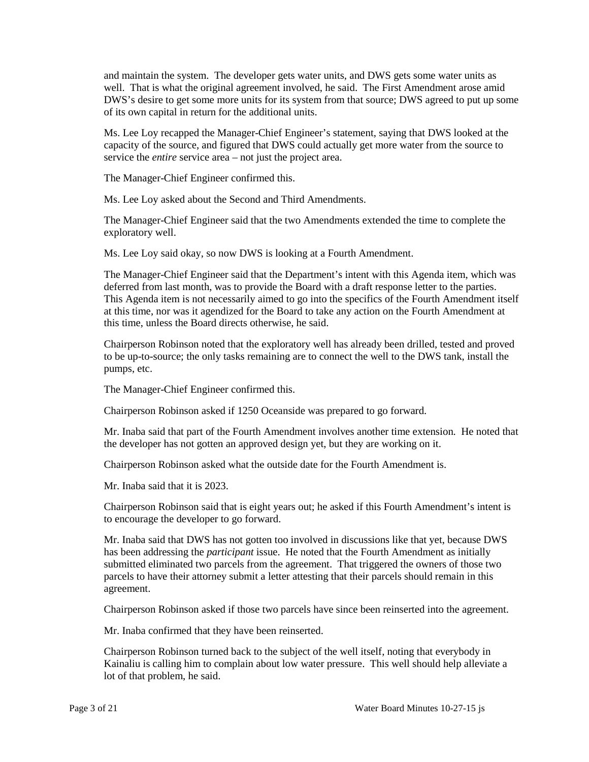well. That is what the original agreement involved, he said. The First Amendment arose amid DWS's desire to get some more units for its system from that source; DWS agreed to put up some and maintain the system. The developer gets water units, and DWS gets some water units as of its own capital in return for the additional units.

 capacity of the source, and figured that DWS could actually get more water from the source to Ms. Lee Loy recapped the Manager-Chief Engineer's statement, saying that DWS looked at the service the *entire* service area – not just the project area.

The Manager-Chief Engineer confirmed this.

Ms. Lee Loy asked about the Second and Third Amendments.

The Manager-Chief Engineer said that the two Amendments extended the time to complete the exploratory well.

Ms. Lee Loy said okay, so now DWS is looking at a Fourth Amendment.

deferred from last month, was to provide the Board with a draft response letter to the parties. deferred from last month, was to provide the Board with a draft response letter to the parties. This Agenda item is not necessarily aimed to go into the specifics of the Fourth Amendment itself at this time, nor was it agendized for the Board to take any action on the Fourth Amendment at The Manager-Chief Engineer said that the Department's intent with this Agenda item, which was this time, unless the Board directs otherwise, he said.

 to be up-to-source; the only tasks remaining are to connect the well to the DWS tank, install the Chairperson Robinson noted that the exploratory well has already been drilled, tested and proved pumps, etc.

The Manager-Chief Engineer confirmed this.

Chairperson Robinson asked if 1250 Oceanside was prepared to go forward.

Mr. Inaba said that part of the Fourth Amendment involves another time extension. He noted that the developer has not gotten an approved design yet, but they are working on it.

Chairperson Robinson asked what the outside date for the Fourth Amendment is.

Mr. Inaba said that it is 2023.

Chairperson Robinson said that is eight years out; he asked if this Fourth Amendment's intent is to encourage the developer to go forward.

 has been addressing the *participant* issue. He noted that the Fourth Amendment as initially submitted eliminated two parcels from the agreement. That triggered the owners of those two Mr. Inaba said that DWS has not gotten too involved in discussions like that yet, because DWS parcels to have their attorney submit a letter attesting that their parcels should remain in this agreement.

Chairperson Robinson asked if those two parcels have since been reinserted into the agreement.

Mr. Inaba confirmed that they have been reinserted.

 Kainaliu is calling him to complain about low water pressure. This well should help alleviate a Chairperson Robinson turned back to the subject of the well itself, noting that everybody in lot of that problem, he said.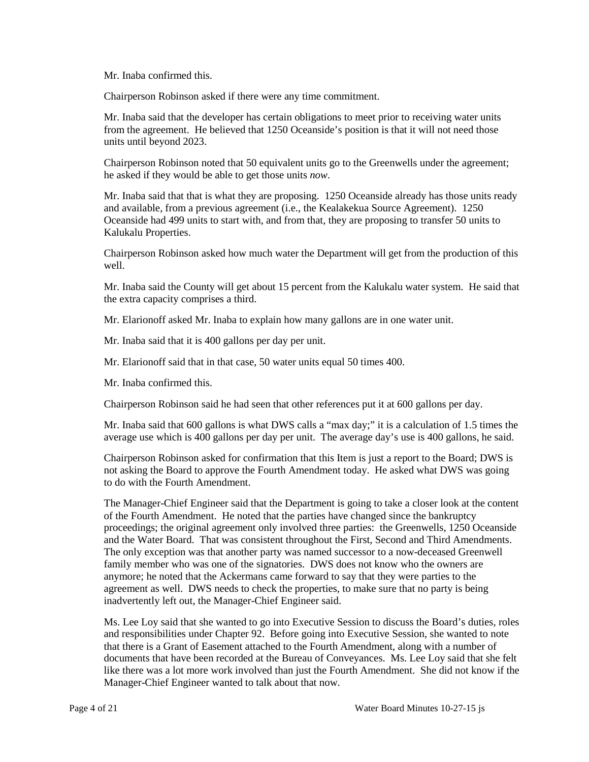Mr. Inaba confirmed this.

Chairperson Robinson asked if there were any time commitment.

 from the agreement. He believed that 1250 Oceanside's position is that it will not need those Mr. Inaba said that the developer has certain obligations to meet prior to receiving water units units until beyond 2023.

 he asked if they would be able to get those units *now*. Chairperson Robinson noted that 50 equivalent units go to the Greenwells under the agreement;

 Mr. Inaba said that that is what they are proposing. 1250 Oceanside already has those units ready and available, from a previous agreement (i.e., the Kealakekua Source Agreement). 1250 Oceanside had 499 units to start with, and from that, they are proposing to transfer 50 units to Kalukalu Properties.

 Chairperson Robinson asked how much water the Department will get from the production of this well.

Mr. Inaba said the County will get about 15 percent from the Kalukalu water system. He said that the extra capacity comprises a third.

Mr. Elarionoff asked Mr. Inaba to explain how many gallons are in one water unit.

Mr. Inaba said that it is 400 gallons per day per unit.

Mr. Elarionoff said that in that case, 50 water units equal 50 times 400.

Mr. Inaba confirmed this.

Chairperson Robinson said he had seen that other references put it at 600 gallons per day.

 average use which is 400 gallons per day per unit. The average day's use is 400 gallons, he said. Mr. Inaba said that 600 gallons is what DWS calls a "max day;" it is a calculation of 1.5 times the

 Chairperson Robinson asked for confirmation that this Item is just a report to the Board; DWS is not asking the Board to approve the Fourth Amendment today. He asked what DWS was going to do with the Fourth Amendment.

 The Manager-Chief Engineer said that the Department is going to take a closer look at the content and the Water Board. That was consistent throughout the First, Second and Third Amendments. family member who was one of the signatories. DWS does not know who the owners are anymore; he noted that the Ackermans came forward to say that they were parties to the agreement as well. DWS needs to check the properties, to make sure that no party is being of the Fourth Amendment. He noted that the parties have changed since the bankruptcy proceedings; the original agreement only involved three parties: the Greenwells, 1250 Oceanside The only exception was that another party was named successor to a now-deceased Greenwell inadvertently left out, the Manager-Chief Engineer said.

 that there is a Grant of Easement attached to the Fourth Amendment, along with a number of documents that have been recorded at the Bureau of Conveyances. Ms. Lee Loy said that she felt like there was a lot more work involved than just the Fourth Amendment. She did not know if the Ms. Lee Loy said that she wanted to go into Executive Session to discuss the Board's duties, roles and responsibilities under Chapter 92. Before going into Executive Session, she wanted to note Manager-Chief Engineer wanted to talk about that now.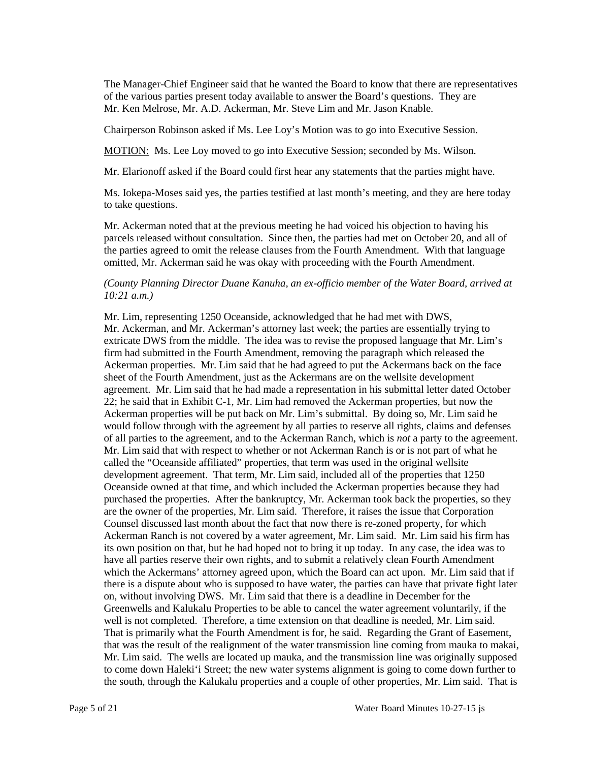of the various parties present today available to answer the Board's questions. They are Mr. Ken Melrose, Mr. A.D. Ackerman, Mr. Steve Lim and Mr. Jason Knable. The Manager-Chief Engineer said that he wanted the Board to know that there are representatives

Chairperson Robinson asked if Ms. Lee Loy's Motion was to go into Executive Session.

MOTION: Ms. Lee Loy moved to go into Executive Session; seconded by Ms. Wilson.

Mr. Elarionoff asked if the Board could first hear any statements that the parties might have.

Ms. Iokepa-Moses said yes, the parties testified at last month's meeting, and they are here today to take questions.

 parcels released without consultation. Since then, the parties had met on October 20, and all of omitted, Mr. Ackerman said he was okay with proceeding with the Fourth Amendment. Mr. Ackerman noted that at the previous meeting he had voiced his objection to having his the parties agreed to omit the release clauses from the Fourth Amendment. With that language

### *(County Planning Director Duane Kanuha, an ex-officio member of the Water Board, arrived at 10:21 a.m.)*

 extricate DWS from the middle. The idea was to revise the proposed language that Mr. Lim's sheet of the Fourth Amendment, just as the Ackermans are on the wellsite development 22; he said that in Exhibit C-1, Mr. Lim had removed the Ackerman properties, but now the of all parties to the agreement, and to the Ackerman Ranch, which is *not* a party to the agreement. of all parties to the agreement, and to the Ackerman Ranch, which is *not* a party to the agreement. Mr. Lim said that with respect to whether or not Ackerman Ranch is or is not part of what he called the "Oceanside affiliated" properties, that term was used in the original wellsite are the owner of the properties, Mr. Lim said. Therefore, it raises the issue that Corporation Counsel discussed last month about the fact that now there is re-zoned property, for which have all parties reserve their own rights, and to submit a relatively clean Fourth Amendment which the Ackermans' attorney agreed upon, which the Board can act upon. Mr. Lim said that if there is a dispute about who is supposed to have water, the parties can have that private fight later on, without involving DWS. Mr. Lim said that there is a deadline in December for the Mr. Lim, representing 1250 Oceanside, acknowledged that he had met with DWS, Mr. Ackerman, and Mr. Ackerman's attorney last week; the parties are essentially trying to firm had submitted in the Fourth Amendment, removing the paragraph which released the Ackerman properties. Mr. Lim said that he had agreed to put the Ackermans back on the face agreement. Mr. Lim said that he had made a representation in his submittal letter dated October Ackerman properties will be put back on Mr. Lim's submittal. By doing so, Mr. Lim said he would follow through with the agreement by all parties to reserve all rights, claims and defenses development agreement. That term, Mr. Lim said, included all of the properties that 1250 Oceanside owned at that time, and which included the Ackerman properties because they had purchased the properties. After the bankruptcy, Mr. Ackerman took back the properties, so they Ackerman Ranch is not covered by a water agreement, Mr. Lim said. Mr. Lim said his firm has its own position on that, but he had hoped not to bring it up today. In any case, the idea was to Greenwells and Kalukalu Properties to be able to cancel the water agreement voluntarily, if the well is not completed. Therefore, a time extension on that deadline is needed, Mr. Lim said. That is primarily what the Fourth Amendment is for, he said. Regarding the Grant of Easement, that was the result of the realignment of the water transmission line coming from mauka to makai, Mr. Lim said. The wells are located up mauka, and the transmission line was originally supposed to come down Haleki'i Street; the new water systems alignment is going to come down further to the south, through the Kalukalu properties and a couple of other properties, Mr. Lim said. That is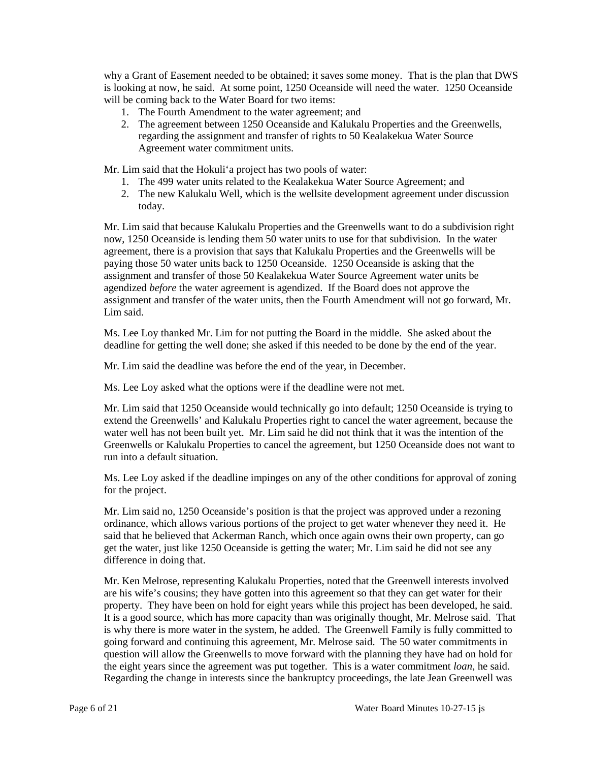why a Grant of Easement needed to be obtained; it saves some money. That is the plan that DWS will be coming back to the Water Board for two items: is looking at now, he said. At some point, 1250 Oceanside will need the water. 1250 Oceanside

- 1. The Fourth Amendment to the water agreement; and
- regarding the assignment and transfer of rights to 50 Kealakekua Water Source 2. The agreement between 1250 Oceanside and Kalukalu Properties and the Greenwells, Agreement water commitment units.

Mr. Lim said that the Hokuli'a project has two pools of water:

- 1. The 499 water units related to the Kealakekua Water Source Agreement; and
- 2. The new Kalukalu Well, which is the wellsite development agreement under discussion today.

 Mr. Lim said that because Kalukalu Properties and the Greenwells want to do a subdivision right now, 1250 Oceanside is lending them 50 water units to use for that subdivision. In the water agreement, there is a provision that says that Kalukalu Properties and the Greenwells will be assignment and transfer of those 50 Kealakekua Water Source Agreement water units be agendized *before* the water agreement is agendized. If the Board does not approve the assignment and transfer of the water units, then the Fourth Amendment will not go forward, Mr. paying those 50 water units back to 1250 Oceanside. 1250 Oceanside is asking that the Lim said.

Ms. Lee Loy thanked Mr. Lim for not putting the Board in the middle. She asked about the deadline for getting the well done; she asked if this needed to be done by the end of the year.

Mr. Lim said the deadline was before the end of the year, in December.

Ms. Lee Loy asked what the options were if the deadline were not met.

 Mr. Lim said that 1250 Oceanside would technically go into default; 1250 Oceanside is trying to extend the Greenwells' and Kalukalu Properties right to cancel the water agreement, because the water well has not been built yet. Mr. Lim said he did not think that it was the intention of the Greenwells or Kalukalu Properties to cancel the agreement, but 1250 Oceanside does not want to run into a default situation.

Ms. Lee Loy asked if the deadline impinges on any of the other conditions for approval of zoning for the project.

 Mr. Lim said no, 1250 Oceanside's position is that the project was approved under a rezoning get the water, just like 1250 Oceanside is getting the water; Mr. Lim said he did not see any ordinance, which allows various portions of the project to get water whenever they need it. He said that he believed that Ackerman Ranch, which once again owns their own property, can go difference in doing that.

 Mr. Ken Melrose, representing Kalukalu Properties, noted that the Greenwell interests involved are his wife's cousins; they have gotten into this agreement so that they can get water for their property. They have been on hold for eight years while this project has been developed, he said. property. They have been on hold for eight years while this project has been developed, he said. It is a good source, which has more capacity than was originally thought, Mr. Melrose said. That is why there is more water in the system, he added. The Greenwell Family is fully committed to going forward and continuing this agreement, Mr. Melrose said. The 50 water commitments in the eight years since the agreement was put together. This is a water commitment *loan*, he said. question will allow the Greenwells to move forward with the planning they have had on hold for Regarding the change in interests since the bankruptcy proceedings, the late Jean Greenwell was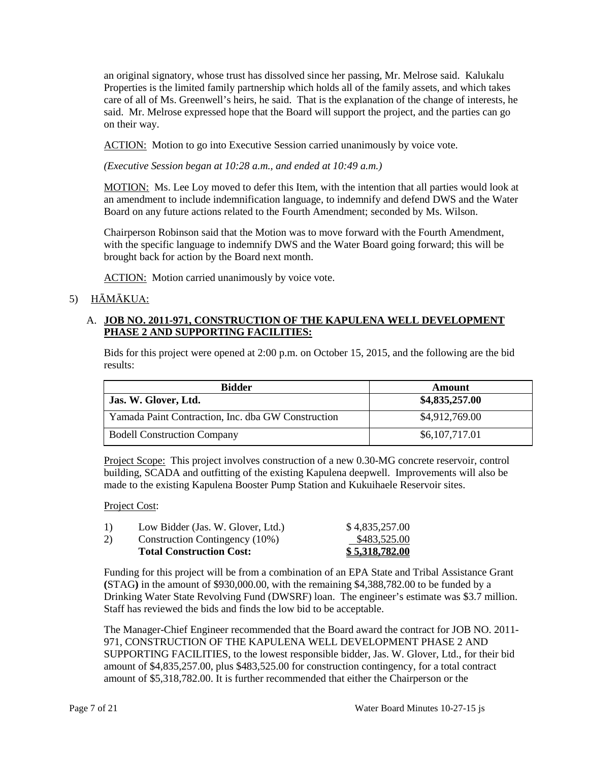an original signatory, whose trust has dissolved since her passing, Mr. Melrose said. Kalukalu care of all of Ms. Greenwell's heirs, he said. That is the explanation of the change of interests, he Properties is the limited family partnership which holds all of the family assets, and which takes said. Mr. Melrose expressed hope that the Board will support the project, and the parties can go on their way.

ACTION: Motion to go into Executive Session carried unanimously by voice vote.

 *(Executive Session began at 10:28 a.m., and ended at 10:49 a.m.)* 

MOTION: Ms. Lee Loy moved to defer this Item, with the intention that all parties would look at an amendment to include indemnification language, to indemnify and defend DWS and the Water Board on any future actions related to the Fourth Amendment; seconded by Ms. Wilson.

Chairperson Robinson said that the Motion was to move forward with the Fourth Amendment, with the specific language to indemnify DWS and the Water Board going forward; this will be brought back for action by the Board next month.

**ACTION:** Motion carried unanimously by voice vote.

## 5) HĀMĀKUA:

## A. **JOB NO. 2011-971, CONSTRUCTION OF THE KAPULENA WELL DEVELOPMENT PHASE 2 AND SUPPORTING FACILITIES:**

Bids for this project were opened at 2:00 p.m. on October 15, 2015, and the following are the bid results:

| <b>Bidder</b>                                      | Amount         |
|----------------------------------------------------|----------------|
| Jas. W. Glover, Ltd.                               | \$4,835,257.00 |
| Yamada Paint Contraction, Inc. dba GW Construction | \$4,912,769.00 |
| <b>Bodell Construction Company</b>                 | \$6,107,717.01 |

Project Scope: This project involves construction of a new 0.30-MG concrete reservoir, control building, SCADA and outfitting of the existing Kapulena deepwell. Improvements will also be made to the existing Kapulena Booster Pump Station and Kukuihaele Reservoir sites.

### Project Cost:

|    | <b>Total Construction Cost:</b>   | \$5,318,782.00 |
|----|-----------------------------------|----------------|
| 2) | Construction Contingency (10%)    | \$483,525.00   |
| 1) | Low Bidder (Jas. W. Glover, Ltd.) | \$4,835,257.00 |

 Funding for this project will be from a combination of an EPA State and Tribal Assistance Grant **(**STAG**)** in the amount of \$930,000.00, with the remaining \$4,388,782.00 to be funded by a Drinking Water State Revolving Fund (DWSRF) loan. The engineer's estimate was \$3.7 million. Staff has reviewed the bids and finds the low bid to be acceptable.

 SUPPORTING FACILITIES, to the lowest responsible bidder, Jas. W. Glover, Ltd., for their bid The Manager-Chief Engineer recommended that the Board award the contract for JOB NO. 2011 971, CONSTRUCTION OF THE KAPULENA WELL DEVELOPMENT PHASE 2 AND amount of \$4,835,257.00, plus \$483,525.00 for construction contingency, for a total contract amount of \$5,318,782.00. It is further recommended that either the Chairperson or the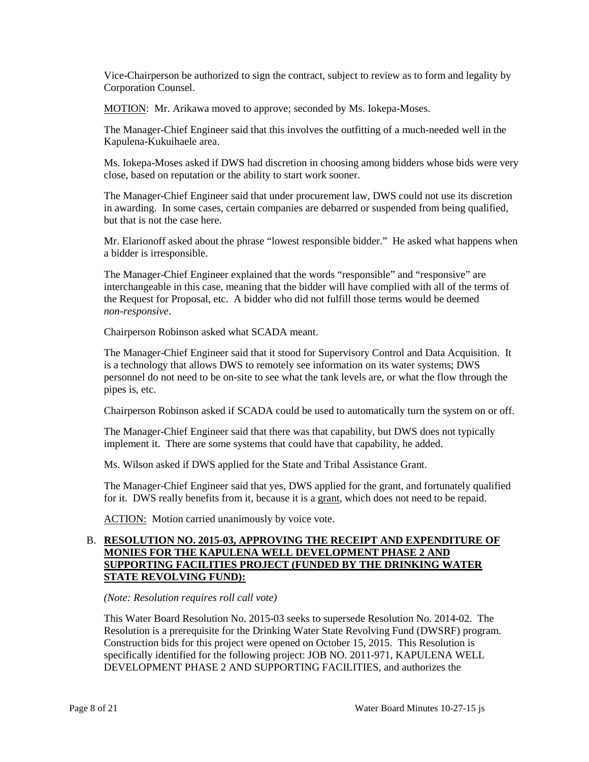Vice-Chairperson be authorized to sign the contract, subject to review as to form and legality by Corporation Counsel.

MOTION: Mr. Arikawa moved to approve; seconded by Ms. Iokepa-Moses.

The Manager-Chief Engineer said that this involves the outfitting of a much-needed well in the Kapulena-Kukuihaele area.

Ms. Iokepa-Moses asked if DWS had discretion in choosing among bidders whose bids were very close, based on reputation or the ability to start work sooner.

 The Manager-Chief Engineer said that under procurement law, DWS could not use its discretion in awarding. In some cases, certain companies are debarred or suspended from being qualified, but that is not the case here.

Mr. Elarionoff asked about the phrase "lowest responsible bidder." He asked what happens when a bidder is irresponsible.

 the Request for Proposal, etc. A bidder who did not fulfill those terms would be deemed The Manager-Chief Engineer explained that the words "responsible" and "responsive" are interchangeable in this case, meaning that the bidder will have complied with all of the terms of *non-responsive*.

Chairperson Robinson asked what SCADA meant.

 personnel do not need to be on-site to see what the tank levels are, or what the flow through the The Manager-Chief Engineer said that it stood for Supervisory Control and Data Acquisition. It is a technology that allows DWS to remotely see information on its water systems; DWS pipes is, etc.

Chairperson Robinson asked if SCADA could be used to automatically turn the system on or off.

 implement it. There are some systems that could have that capability, he added. The Manager-Chief Engineer said that there was that capability, but DWS does not typically

Ms. Wilson asked if DWS applied for the State and Tribal Assistance Grant.

for it. DWS really benefits from it, because it is a grant, which does not need to be repaid. The Manager-Chief Engineer said that yes, DWS applied for the grant, and fortunately qualified

ACTION: Motion carried unanimously by voice vote.

### B. **RESOLUTION NO. 2015-03, APPROVING THE RECEIPT AND EXPENDITURE OF MONIES FOR THE KAPULENA WELL DEVELOPMENT PHASE 2 AND SUPPORTING FACILITIES PROJECT (FUNDED BY THE DRINKING WATER STATE REVOLVING FUND):**

*(Note: Resolution requires roll call vote)* 

 Resolution is a prerequisite for the Drinking Water State Revolving Fund (DWSRF) program. This Water Board Resolution No. 2015-03 seeks to supersede Resolution No. 2014-02. The Construction bids for this project were opened on October 15, 2015. This Resolution is specifically identified for the following project: JOB NO. 2011-971, KAPULENA WELL DEVELOPMENT PHASE 2 AND SUPPORTING FACILITIES, and authorizes the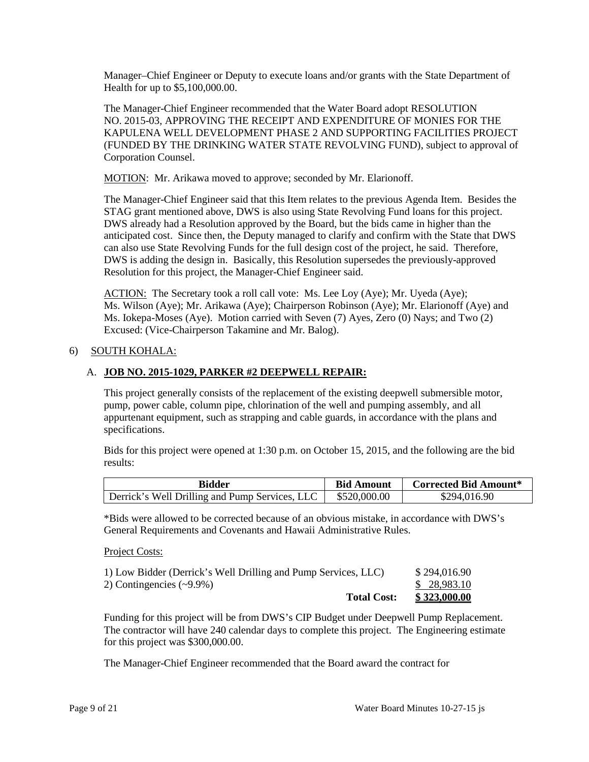Manager–Chief Engineer or Deputy to execute loans and/or grants with the State Department of Health for up to \$5,100,000.00.

The Manager-Chief Engineer recommended that the Water Board adopt RESOLUTION NO. 2015-03, APPROVING THE RECEIPT AND EXPENDITURE OF MONIES FOR THE KAPULENA WELL DEVELOPMENT PHASE 2 AND SUPPORTING FACILITIES PROJECT (FUNDED BY THE DRINKING WATER STATE REVOLVING FUND), subject to approval of Corporation Counsel.

MOTION: Mr. Arikawa moved to approve; seconded by Mr. Elarionoff.

 STAG grant mentioned above, DWS is also using State Revolving Fund loans for this project. DWS already had a Resolution approved by the Board, but the bids came in higher than the The Manager-Chief Engineer said that this Item relates to the previous Agenda Item. Besides the anticipated cost. Since then, the Deputy managed to clarify and confirm with the State that DWS can also use State Revolving Funds for the full design cost of the project, he said. Therefore, DWS is adding the design in. Basically, this Resolution supersedes the previously-approved Resolution for this project, the Manager-Chief Engineer said.

ACTION: The Secretary took a roll call vote: Ms. Lee Loy (Aye); Mr. Uyeda (Aye); Ms. Iokepa-Moses (Aye). Motion carried with Seven (7) Ayes, Zero (0) Nays; and Two (2) Ms. Wilson (Aye); Mr. Arikawa (Aye); Chairperson Robinson (Aye); Mr. Elarionoff (Aye) and Excused: (Vice-Chairperson Takamine and Mr. Balog).

### 6) SOUTH KOHALA:

#### A. **JOB NO. 2015-1029, PARKER #2 DEEPWELL REPAIR:**

 pump, power cable, column pipe, chlorination of the well and pumping assembly, and all This project generally consists of the replacement of the existing deepwell submersible motor, appurtenant equipment, such as strapping and cable guards, in accordance with the plans and specifications.

Bids for this project were opened at 1:30 p.m. on October 15, 2015, and the following are the bid results:

| <b>Bidder</b>                                  | <b>Bid Amount</b> | <b>Corrected Bid Amount*</b> |
|------------------------------------------------|-------------------|------------------------------|
| Derrick's Well Drilling and Pump Services, LLC | \$520,000.00      | \$294,016.90                 |

\*Bids were allowed to be corrected because of an obvious mistake, in accordance with DWS's General Requirements and Covenants and Hawaii Administrative Rules.

Project Costs:

| 2) Contingencies $(\sim 9.9\%)$ | \$ 28,983.10 |
|---------------------------------|--------------|
| <b>Total Cost:</b>              | \$323,000.00 |

Funding for this project will be from DWS's CIP Budget under Deepwell Pump Replacement. The contractor will have 240 calendar days to complete this project. The Engineering estimate for this project was \$300,000.00.

The Manager-Chief Engineer recommended that the Board award the contract for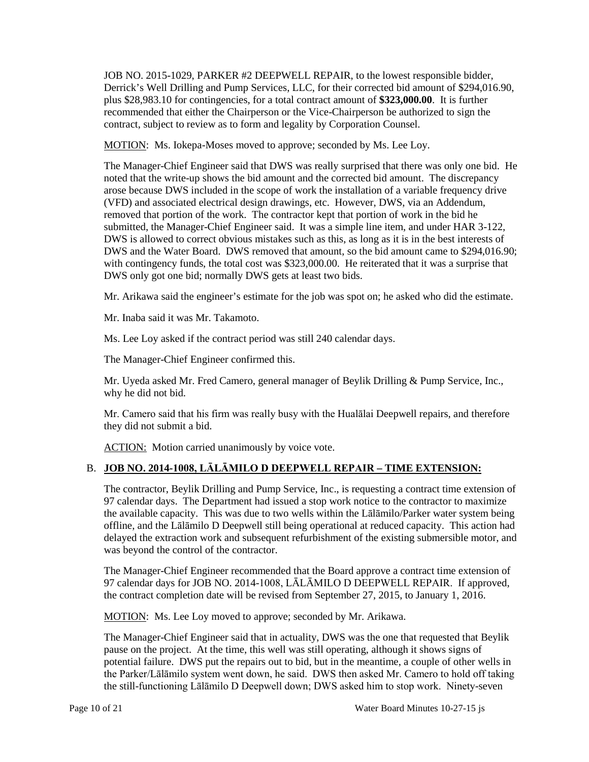recommended that either the Chairperson or the Vice-Chairperson be authorized to sign the contract, subject to review as to form and legality by Corporation Counsel. JOB NO. 2015-1029, PARKER #2 DEEPWELL REPAIR, to the lowest responsible bidder, Derrick's Well Drilling and Pump Services, LLC, for their corrected bid amount of \$294,016.90, plus \$28,983.10 for contingencies, for a total contract amount of **\$323,000.00**. It is further

MOTION: Ms. Iokepa-Moses moved to approve; seconded by Ms. Lee Loy.

 noted that the write-up shows the bid amount and the corrected bid amount. The discrepancy arose because DWS included in the scope of work the installation of a variable frequency drive removed that portion of the work. The contractor kept that portion of work in the bid he The Manager-Chief Engineer said that DWS was really surprised that there was only one bid. He (VFD) and associated electrical design drawings, etc. However, DWS, via an Addendum, submitted, the Manager-Chief Engineer said. It was a simple line item, and under HAR 3-122, DWS is allowed to correct obvious mistakes such as this, as long as it is in the best interests of DWS and the Water Board. DWS removed that amount, so the bid amount came to \$294,016.90; with contingency funds, the total cost was \$323,000.00. He reiterated that it was a surprise that DWS only got one bid; normally DWS gets at least two bids.

Mr. Arikawa said the engineer's estimate for the job was spot on; he asked who did the estimate.

Mr. Inaba said it was Mr. Takamoto.

Ms. Lee Loy asked if the contract period was still 240 calendar days.

The Manager-Chief Engineer confirmed this.

Mr. Uyeda asked Mr. Fred Camero, general manager of Beylik Drilling & Pump Service, Inc., why he did not bid.

 Mr. Camero said that his firm was really busy with the Hualālai Deepwell repairs, and therefore they did not submit a bid.

ACTION: Motion carried unanimously by voice vote.

## B. **JOB NO. 2014-1008, LĀLĀMILO D DEEPWELL REPAIR – TIME EXTENSION:**

 97 calendar days. The Department had issued a stop work notice to the contractor to maximize offline, and the Lālāmilo D Deepwell still being operational at reduced capacity. This action had The contractor, Beylik Drilling and Pump Service, Inc., is requesting a contract time extension of the available capacity. This was due to two wells within the Lālāmilo/Parker water system being delayed the extraction work and subsequent refurbishment of the existing submersible motor, and was beyond the control of the contractor.

 The Manager-Chief Engineer recommended that the Board approve a contract time extension of 97 calendar days for JOB NO. 2014-1008, LĀLĀMILO D DEEPWELL REPAIR. If approved, the contract completion date will be revised from September 27, 2015, to January 1, 2016.

MOTION: Ms. Lee Loy moved to approve; seconded by Mr. Arikawa.

 pause on the project. At the time, this well was still operating, although it shows signs of potential failure. DWS put the repairs out to bid, but in the meantime, a couple of other wells in the Parker/Lālāmilo system went down, he said. DWS then asked Mr. Camero to hold off taking The Manager-Chief Engineer said that in actuality, DWS was the one that requested that Beylik the still-functioning Lālāmilo D Deepwell down; DWS asked him to stop work. Ninety-seven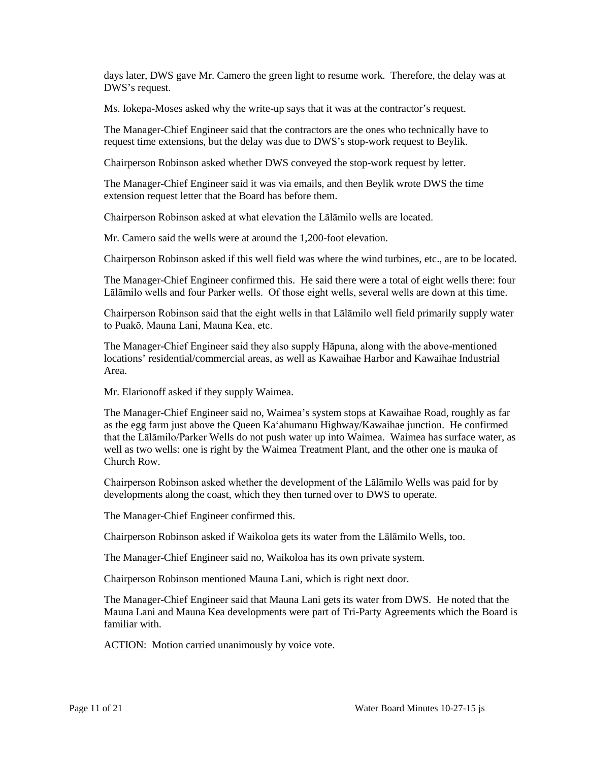days later, DWS gave Mr. Camero the green light to resume work. Therefore, the delay was at DWS's request.

Ms. Iokepa-Moses asked why the write-up says that it was at the contractor's request.

The Manager-Chief Engineer said that the contractors are the ones who technically have to request time extensions, but the delay was due to DWS's stop-work request to Beylik.

Chairperson Robinson asked whether DWS conveyed the stop-work request by letter.

The Manager-Chief Engineer said it was via emails, and then Beylik wrote DWS the time extension request letter that the Board has before them.

Chairperson Robinson asked at what elevation the Lālāmilo wells are located.

Mr. Camero said the wells were at around the 1,200-foot elevation.

Chairperson Robinson asked if this well field was where the wind turbines, etc., are to be located.

 The Manager-Chief Engineer confirmed this. He said there were a total of eight wells there: four Lālāmilo wells and four Parker wells. Of those eight wells, several wells are down at this time.

 Chairperson Robinson said that the eight wells in that Lālāmilo well field primarily supply water to Puakō, Mauna Lani, Mauna Kea, etc.

 locations' residential/commercial areas, as well as Kawaihae Harbor and Kawaihae Industrial The Manager-Chief Engineer said they also supply Hāpuna, along with the above-mentioned Area.

Mr. Elarionoff asked if they supply Waimea.

 well as two wells: one is right by the Waimea Treatment Plant, and the other one is mauka of The Manager-Chief Engineer said no, Waimea's system stops at Kawaihae Road, roughly as far as the egg farm just above the Queen Ka'ahumanu Highway/Kawaihae junction. He confirmed that the Lālāmilo/Parker Wells do not push water up into Waimea. Waimea has surface water, as Church Row.

 developments along the coast, which they then turned over to DWS to operate. Chairperson Robinson asked whether the development of the Lālāmilo Wells was paid for by

The Manager-Chief Engineer confirmed this.

Chairperson Robinson asked if Waikoloa gets its water from the Lālāmilo Wells, too.

The Manager-Chief Engineer said no, Waikoloa has its own private system.

Chairperson Robinson mentioned Mauna Lani, which is right next door.

The Manager-Chief Engineer said that Mauna Lani gets its water from DWS. He noted that the Mauna Lani and Mauna Kea developments were part of Tri-Party Agreements which the Board is familiar with.

**ACTION:** Motion carried unanimously by voice vote.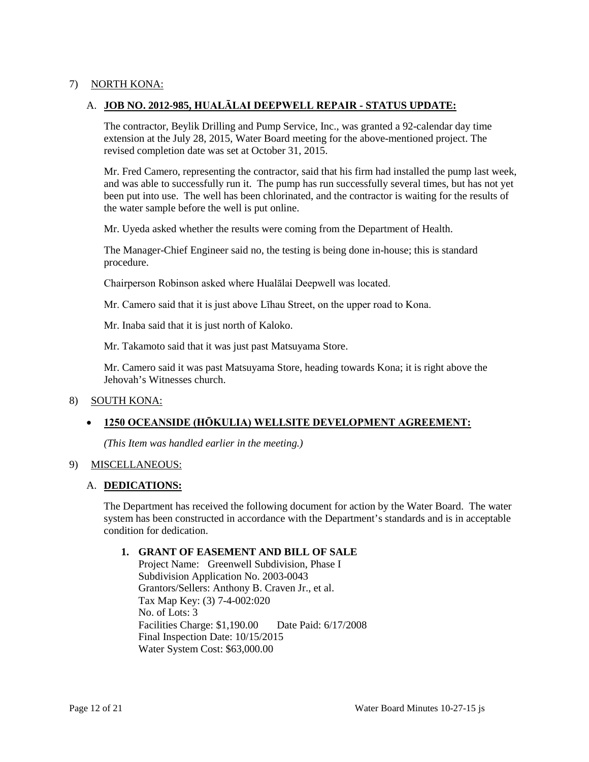### 7) NORTH KONA:

### A. **JOB NO. 2012-985, HUALĀLAI DEEPWELL REPAIR - STATUS UPDATE:**

 revised completion date was set at October 31, 2015. The contractor, Beylik Drilling and Pump Service, Inc., was granted a 92-calendar day time extension at the July 28, 2015, Water Board meeting for the above-mentioned project. The

 Mr. Fred Camero, representing the contractor, said that his firm had installed the pump last week, and was able to successfully run it. The pump has run successfully several times, but has not yet been put into use. The well has been chlorinated, and the contractor is waiting for the results of the water sample before the well is put online.

Mr. Uyeda asked whether the results were coming from the Department of Health.

The Manager-Chief Engineer said no, the testing is being done in-house; this is standard procedure.

Chairperson Robinson asked where Hualālai Deepwell was located.

Mr. Camero said that it is just above Līhau Street, on the upper road to Kona.

Mr. Inaba said that it is just north of Kaloko.

Mr. Takamoto said that it was just past Matsuyama Store.

 Mr. Camero said it was past Matsuyama Store, heading towards Kona; it is right above the Jehovah's Witnesses church.

### 8) SOUTH KONA:

### • **1250 OCEANSIDE (HŌKULIA) WELLSITE DEVELOPMENT AGREEMENT:**

*(This Item was handled earlier in the meeting.)* 

#### 9) MISCELLANEOUS:

#### A. **DEDICATIONS:**

 system has been constructed in accordance with the Department's standards and is in acceptable The Department has received the following document for action by the Water Board. The water condition for dedication.

### **1. GRANT OF EASEMENT AND BILL OF SALE**

 No. of Lots: 3 Final Inspection Date: 10/15/2015 Project Name: Greenwell Subdivision, Phase I Subdivision Application No. 2003-0043 Grantors/Sellers: Anthony B. Craven Jr., et al. Tax Map Key: (3) 7-4-002:020 Facilities Charge: \$1,190.00 Date Paid: 6/17/2008 Water System Cost: \$63,000.00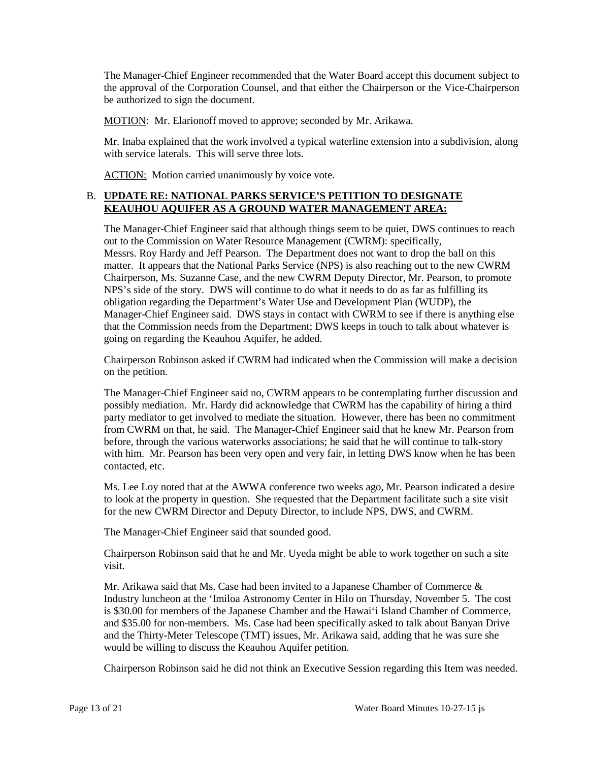The Manager-Chief Engineer recommended that the Water Board accept this document subject to the approval of the Corporation Counsel, and that either the Chairperson or the Vice-Chairperson be authorized to sign the document.

MOTION: Mr. Elarionoff moved to approve; seconded by Mr. Arikawa.

 with service laterals. This will serve three lots. Mr. Inaba explained that the work involved a typical waterline extension into a subdivision, along

ACTION: Motion carried unanimously by voice vote.

### B. **UPDATE RE: NATIONAL PARKS SERVICE'S PETITION TO DESIGNATE KEAUHOU AQUIFER AS A GROUND WATER MANAGEMENT AREA:**

 The Manager-Chief Engineer said that although things seem to be quiet, DWS continues to reach Messrs. Roy Hardy and Jeff Pearson. The Department does not want to drop the ball on this matter. It appears that the National Parks Service (NPS) is also reaching out to the new CWRM NPS's side of the story. DWS will continue to do what it needs to do as far as fulfilling its Manager-Chief Engineer said. DWS stays in contact with CWRM to see if there is anything else that the Commission needs from the Department; DWS keeps in touch to talk about whatever is going on regarding the Keauhou Aquifer, he added. out to the Commission on Water Resource Management (CWRM): specifically, Chairperson, Ms. Suzanne Case, and the new CWRM Deputy Director, Mr. Pearson, to promote obligation regarding the Department's Water Use and Development Plan (WUDP), the

Chairperson Robinson asked if CWRM had indicated when the Commission will make a decision on the petition.

 The Manager-Chief Engineer said no, CWRM appears to be contemplating further discussion and party mediator to get involved to mediate the situation. However, there has been no commitment from CWRM on that, he said. The Manager-Chief Engineer said that he knew Mr. Pearson from before, through the various waterworks associations; he said that he will continue to talk-story possibly mediation. Mr. Hardy did acknowledge that CWRM has the capability of hiring a third with him. Mr. Pearson has been very open and very fair, in letting DWS know when he has been contacted, etc.

Ms. Lee Loy noted that at the AWWA conference two weeks ago, Mr. Pearson indicated a desire to look at the property in question. She requested that the Department facilitate such a site visit for the new CWRM Director and Deputy Director, to include NPS, DWS, and CWRM.

The Manager-Chief Engineer said that sounded good.

Chairperson Robinson said that he and Mr. Uyeda might be able to work together on such a site visit.

 Mr. Arikawa said that Ms. Case had been invited to a Japanese Chamber of Commerce & and \$35.00 for non-members. Ms. Case had been specifically asked to talk about Banyan Drive Industry luncheon at the 'Imiloa Astronomy Center in Hilo on Thursday, November 5. The cost is \$30.00 for members of the Japanese Chamber and the Hawai'i Island Chamber of Commerce, and the Thirty-Meter Telescope (TMT) issues, Mr. Arikawa said, adding that he was sure she would be willing to discuss the Keauhou Aquifer petition.

Chairperson Robinson said he did not think an Executive Session regarding this Item was needed.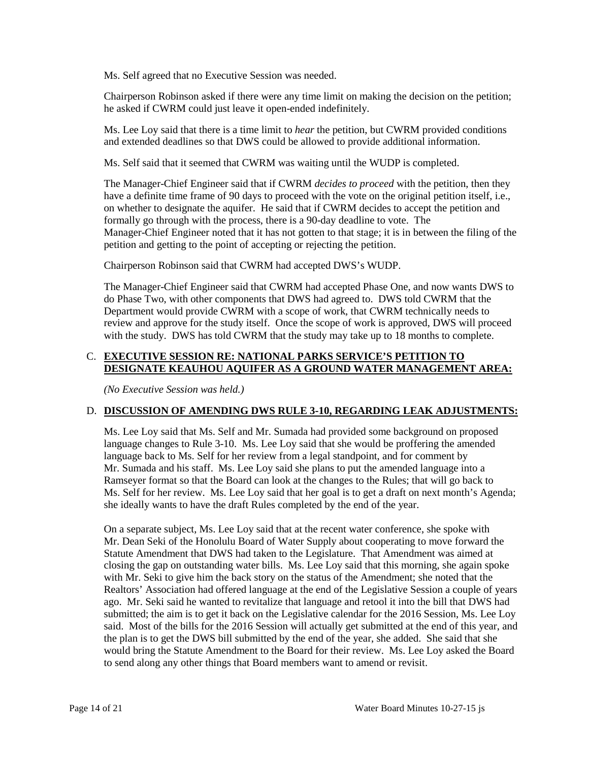Ms. Self agreed that no Executive Session was needed.

 he asked if CWRM could just leave it open-ended indefinitely. Chairperson Robinson asked if there were any time limit on making the decision on the petition;

 Ms. Lee Loy said that there is a time limit to *hear* the petition, but CWRM provided conditions and extended deadlines so that DWS could be allowed to provide additional information.

Ms. Self said that it seemed that CWRM was waiting until the WUDP is completed.

 formally go through with the process, there is a 90-day deadline to vote. The Manager-Chief Engineer noted that it has not gotten to that stage; it is in between the filing of the The Manager-Chief Engineer said that if CWRM *decides to proceed* with the petition, then they have a definite time frame of 90 days to proceed with the vote on the original petition itself, i.e., on whether to designate the aquifer. He said that if CWRM decides to accept the petition and petition and getting to the point of accepting or rejecting the petition.

Chairperson Robinson said that CWRM had accepted DWS's WUDP.

 do Phase Two, with other components that DWS had agreed to. DWS told CWRM that the Department would provide CWRM with a scope of work, that CWRM technically needs to review and approve for the study itself. Once the scope of work is approved, DWS will proceed with the study. DWS has told CWRM that the study may take up to 18 months to complete. The Manager-Chief Engineer said that CWRM had accepted Phase One, and now wants DWS to

## C. **EXECUTIVE SESSION RE: NATIONAL PARKS SERVICE'S PETITION TO DESIGNATE KEAUHOU AQUIFER AS A GROUND WATER MANAGEMENT AREA:**

*(No Executive Session was held.)* 

### D. **DISCUSSION OF AMENDING DWS RULE 3-10, REGARDING LEAK ADJUSTMENTS:**

 Ms. Lee Loy said that Ms. Self and Mr. Sumada had provided some background on proposed Mr. Sumada and his staff. Ms. Lee Loy said she plans to put the amended language into a Ramseyer format so that the Board can look at the changes to the Rules; that will go back to language changes to Rule 3-10. Ms. Lee Loy said that she would be proffering the amended language back to Ms. Self for her review from a legal standpoint, and for comment by Ms. Self for her review. Ms. Lee Loy said that her goal is to get a draft on next month's Agenda; she ideally wants to have the draft Rules completed by the end of the year.

 Statute Amendment that DWS had taken to the Legislature. That Amendment was aimed at with Mr. Seki to give him the back story on the status of the Amendment; she noted that the Realtors' Association had offered language at the end of the Legislative Session a couple of years ago. Mr. Seki said he wanted to revitalize that language and retool it into the bill that DWS had said. Most of the bills for the 2016 Session will actually get submitted at the end of this year, and the plan is to get the DWS bill submitted by the end of the year, she added. She said that she On a separate subject, Ms. Lee Loy said that at the recent water conference, she spoke with Mr. Dean Seki of the Honolulu Board of Water Supply about cooperating to move forward the closing the gap on outstanding water bills. Ms. Lee Loy said that this morning, she again spoke submitted; the aim is to get it back on the Legislative calendar for the 2016 Session, Ms. Lee Loy would bring the Statute Amendment to the Board for their review. Ms. Lee Loy asked the Board to send along any other things that Board members want to amend or revisit.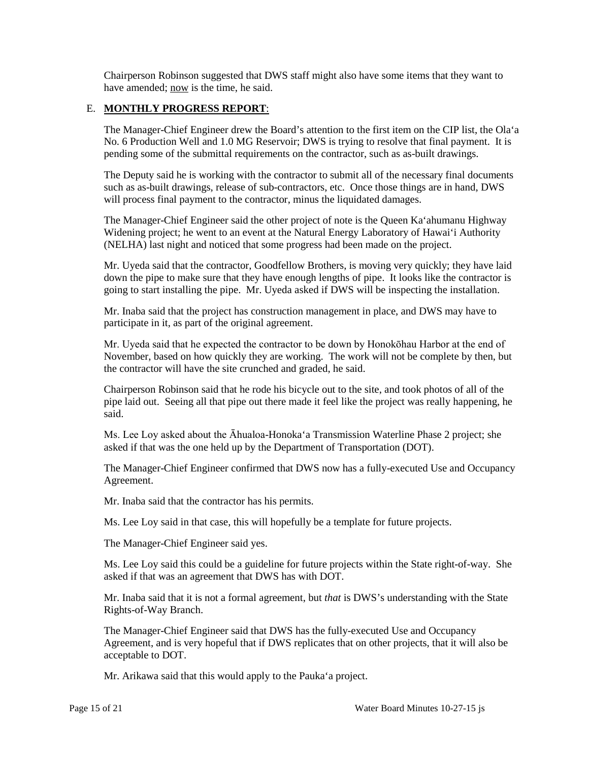Chairperson Robinson suggested that DWS staff might also have some items that they want to have amended; now is the time, he said.

### E. **MONTHLY PROGRESS REPORT**:

 pending some of the submittal requirements on the contractor, such as as-built drawings. The Manager-Chief Engineer drew the Board's attention to the first item on the CIP list, the Ola'a No. 6 Production Well and 1.0 MG Reservoir; DWS is trying to resolve that final payment. It is

 The Deputy said he is working with the contractor to submit all of the necessary final documents such as as-built drawings, release of sub-contractors, etc. Once those things are in hand, DWS will process final payment to the contractor, minus the liquidated damages.

 The Manager-Chief Engineer said the other project of note is the Queen Ka'ahumanu Highway Widening project; he went to an event at the Natural Energy Laboratory of Hawai'i Authority (NELHA) last night and noticed that some progress had been made on the project.

 going to start installing the pipe. Mr. Uyeda asked if DWS will be inspecting the installation. Mr. Uyeda said that the contractor, Goodfellow Brothers, is moving very quickly; they have laid down the pipe to make sure that they have enough lengths of pipe. It looks like the contractor is

 Mr. Inaba said that the project has construction management in place, and DWS may have to participate in it, as part of the original agreement.

 Mr. Uyeda said that he expected the contractor to be down by Honokōhau Harbor at the end of November, based on how quickly they are working. The work will not be complete by then, but the contractor will have the site crunched and graded, he said.

 Chairperson Robinson said that he rode his bicycle out to the site, and took photos of all of the pipe laid out. Seeing all that pipe out there made it feel like the project was really happening, he said.

Ms. Lee Loy asked about the Āhualoa-Honoka'a Transmission Waterline Phase 2 project; she asked if that was the one held up by the Department of Transportation (DOT).

The Manager-Chief Engineer confirmed that DWS now has a fully-executed Use and Occupancy Agreement.

Mr. Inaba said that the contractor has his permits.

Ms. Lee Loy said in that case, this will hopefully be a template for future projects.

The Manager-Chief Engineer said yes.

Ms. Lee Loy said this could be a guideline for future projects within the State right-of-way. She asked if that was an agreement that DWS has with DOT.

 Mr. Inaba said that it is not a formal agreement, but *that* is DWS's understanding with the State Rights-of-Way Branch.

 Agreement, and is very hopeful that if DWS replicates that on other projects, that it will also be The Manager-Chief Engineer said that DWS has the fully-executed Use and Occupancy acceptable to DOT.

Mr. Arikawa said that this would apply to the Pauka'a project.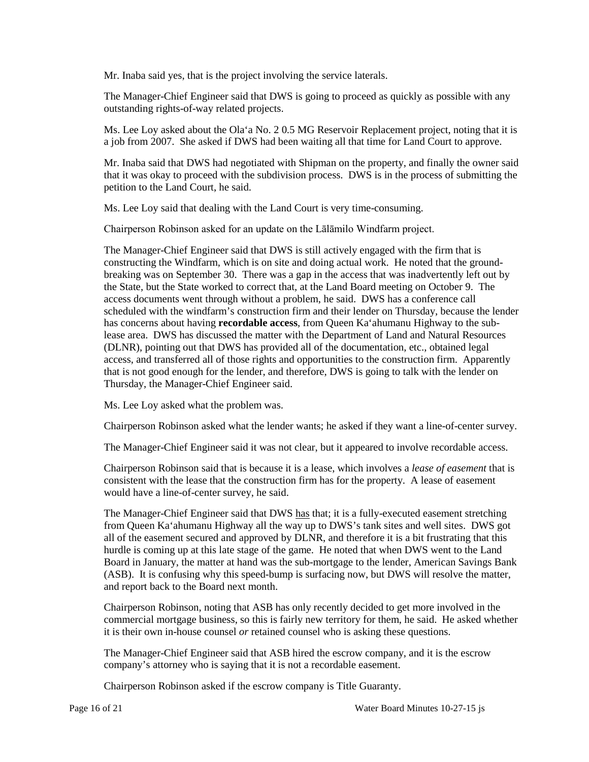Mr. Inaba said yes, that is the project involving the service laterals.

The Manager-Chief Engineer said that DWS is going to proceed as quickly as possible with any outstanding rights-of-way related projects.

 Ms. Lee Loy asked about the Ola'a No. 2 0.5 MG Reservoir Replacement project, noting that it is a job from 2007. She asked if DWS had been waiting all that time for Land Court to approve.

Mr. Inaba said that DWS had negotiated with Shipman on the property, and finally the owner said that it was okay to proceed with the subdivision process. DWS is in the process of submitting the petition to the Land Court, he said.

Ms. Lee Loy said that dealing with the Land Court is very time-consuming.

Chairperson Robinson asked for an update on the Lālāmilo Windfarm project.

 The Manager-Chief Engineer said that DWS is still actively engaged with the firm that is breaking was on September 30. There was a gap in the access that was inadvertently left out by (DLNR), pointing out that DWS has provided all of the documentation, etc., obtained legal access, and transferred all of those rights and opportunities to the construction firm. Apparently that is not good enough for the lender, and therefore, DWS is going to talk with the lender on constructing the Windfarm, which is on site and doing actual work. He noted that the groundthe State, but the State worked to correct that, at the Land Board meeting on October 9. The access documents went through without a problem, he said. DWS has a conference call scheduled with the windfarm's construction firm and their lender on Thursday, because the lender has concerns about having **recordable access**, from Queen Ka'ahumanu Highway to the sublease area. DWS has discussed the matter with the Department of Land and Natural Resources Thursday, the Manager-Chief Engineer said.

Ms. Lee Loy asked what the problem was.

Chairperson Robinson asked what the lender wants; he asked if they want a line-of-center survey.

The Manager-Chief Engineer said it was not clear, but it appeared to involve recordable access.

Chairperson Robinson said that is because it is a lease, which involves a *lease of easement* that is consistent with the lease that the construction firm has for the property. A lease of easement would have a line-of-center survey, he said.

 all of the easement secured and approved by DLNR, and therefore it is a bit frustrating that this hurdle is coming up at this late stage of the game. He noted that when DWS went to the Land The Manager-Chief Engineer said that DWS has that; it is a fully-executed easement stretching from Queen Ka'ahumanu Highway all the way up to DWS's tank sites and well sites. DWS got Board in January, the matter at hand was the sub-mortgage to the lender, American Savings Bank (ASB). It is confusing why this speed-bump is surfacing now, but DWS will resolve the matter, and report back to the Board next month.

 commercial mortgage business, so this is fairly new territory for them, he said. He asked whether it is their own in-house counsel *or* retained counsel who is asking these questions. Chairperson Robinson, noting that ASB has only recently decided to get more involved in the

 The Manager-Chief Engineer said that ASB hired the escrow company, and it is the escrow company's attorney who is saying that it is not a recordable easement.

Chairperson Robinson asked if the escrow company is Title Guaranty.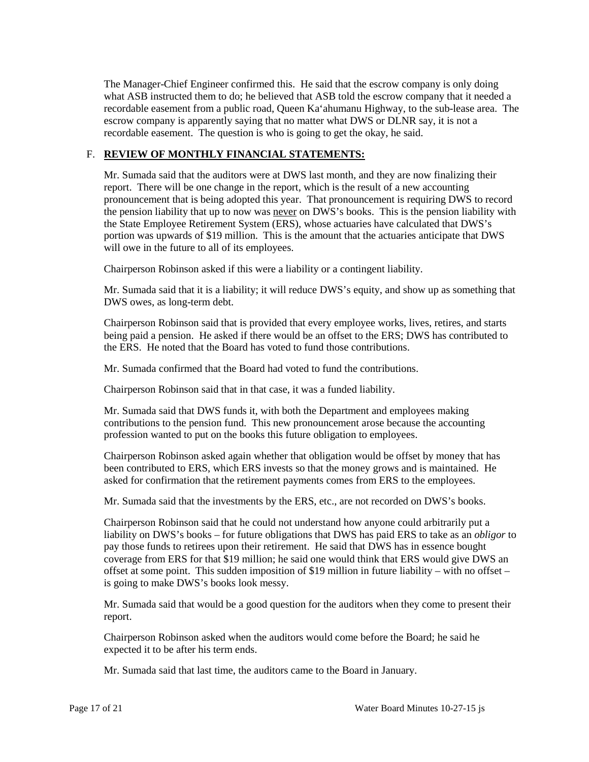The Manager-Chief Engineer confirmed this. He said that the escrow company is only doing recordable easement from a public road, Queen Ka'ahumanu Highway, to the sub-lease area. The what ASB instructed them to do; he believed that ASB told the escrow company that it needed a escrow company is apparently saying that no matter what DWS or DLNR say, it is not a recordable easement. The question is who is going to get the okay, he said.

# F. **REVIEW OF MONTHLY FINANCIAL STATEMENTS:**

 report. There will be one change in the report, which is the result of a new accounting pronouncement that is being adopted this year. That pronouncement is requiring DWS to record the pension liability that up to now was never on DWS's books. This is the pension liability with portion was upwards of \$19 million. This is the amount that the actuaries anticipate that DWS Mr. Sumada said that the auditors were at DWS last month, and they are now finalizing their the State Employee Retirement System (ERS), whose actuaries have calculated that DWS's will owe in the future to all of its employees.

Chairperson Robinson asked if this were a liability or a contingent liability.

Mr. Sumada said that it is a liability; it will reduce DWS's equity, and show up as something that DWS owes, as long-term debt.

 being paid a pension. He asked if there would be an offset to the ERS; DWS has contributed to the ERS. He noted that the Board has voted to fund those contributions. Chairperson Robinson said that is provided that every employee works, lives, retires, and starts

Mr. Sumada confirmed that the Board had voted to fund the contributions.

Chairperson Robinson said that in that case, it was a funded liability.

 contributions to the pension fund. This new pronouncement arose because the accounting Mr. Sumada said that DWS funds it, with both the Department and employees making profession wanted to put on the books this future obligation to employees.

 asked for confirmation that the retirement payments comes from ERS to the employees. Chairperson Robinson asked again whether that obligation would be offset by money that has been contributed to ERS, which ERS invests so that the money grows and is maintained. He

Mr. Sumada said that the investments by the ERS, etc., are not recorded on DWS's books.

 liability on DWS's books – for future obligations that DWS has paid ERS to take as an *obligor* to offset at some point. This sudden imposition of \$19 million in future liability – with no offset – Chairperson Robinson said that he could not understand how anyone could arbitrarily put a pay those funds to retirees upon their retirement. He said that DWS has in essence bought coverage from ERS for that \$19 million; he said one would think that ERS would give DWS an is going to make DWS's books look messy.

Mr. Sumada said that would be a good question for the auditors when they come to present their report.

 Chairperson Robinson asked when the auditors would come before the Board; he said he expected it to be after his term ends.

Mr. Sumada said that last time, the auditors came to the Board in January.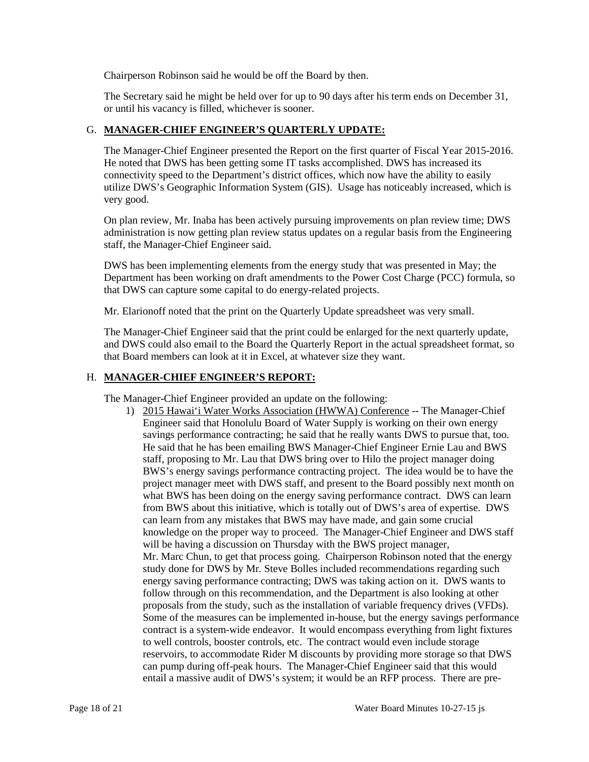Chairperson Robinson said he would be off the Board by then.

 The Secretary said he might be held over for up to 90 days after his term ends on December 31, or until his vacancy is filled, whichever is sooner.

# G. **MANAGER-CHIEF ENGINEER'S QUARTERLY UPDATE:**

The Manager-Chief Engineer presented the Report on the first quarter of Fiscal Year 2015-2016. He noted that DWS has been getting some IT tasks accomplished. DWS has increased its connectivity speed to the Department's district offices, which now have the ability to easily utilize DWS's Geographic Information System (GIS). Usage has noticeably increased, which is very good.

On plan review, Mr. Inaba has been actively pursuing improvements on plan review time; DWS administration is now getting plan review status updates on a regular basis from the Engineering staff, the Manager-Chief Engineer said.

DWS has been implementing elements from the energy study that was presented in May; the Department has been working on draft amendments to the Power Cost Charge (PCC) formula, so that DWS can capture some capital to do energy-related projects.

Mr. Elarionoff noted that the print on the Quarterly Update spreadsheet was very small.

 and DWS could also email to the Board the Quarterly Report in the actual spreadsheet format, so The Manager-Chief Engineer said that the print could be enlarged for the next quarterly update, that Board members can look at it in Excel, at whatever size they want.

### H. **MANAGER-CHIEF ENGINEER'S REPORT:**

The Manager-Chief Engineer provided an update on the following:

 He said that he has been emailing BWS Manager-Chief Engineer Ernie Lau and BWS staff, proposing to Mr. Lau that DWS bring over to Hilo the project manager doing BWS's energy savings performance contracting project. The idea would be to have the what BWS has been doing on the energy saving performance contract. DWS can learn from BWS about this initiative, which is totally out of DWS's area of expertise. DWS knowledge on the proper way to proceed. The Manager-Chief Engineer and DWS staff Mr. Marc Chun, to get that process going. Chairperson Robinson noted that the energy study done for DWS by Mr. Steve Bolles included recommendations regarding such to well controls, booster controls, etc. The contract would even include storage reservoirs, to accommodate Rider M discounts by providing more storage so that DWS can pump during off-peak hours. The Manager-Chief Engineer said that this would entail a massive audit of DWS's system; it would be an RFP process. There are pre-1) 2015 Hawai'i Water Works Association (HWWA) Conference -- The Manager-Chief Engineer said that Honolulu Board of Water Supply is working on their own energy savings performance contracting; he said that he really wants DWS to pursue that, too. project manager meet with DWS staff, and present to the Board possibly next month on can learn from any mistakes that BWS may have made, and gain some crucial will be having a discussion on Thursday with the BWS project manager, energy saving performance contracting; DWS was taking action on it. DWS wants to follow through on this recommendation, and the Department is also looking at other proposals from the study, such as the installation of variable frequency drives (VFDs). Some of the measures can be implemented in-house, but the energy savings performance contract is a system-wide endeavor. It would encompass everything from light fixtures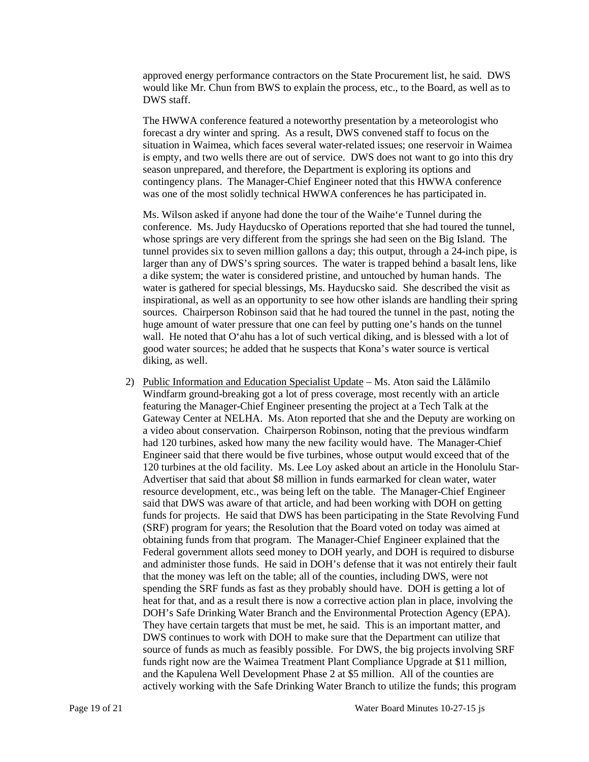approved energy performance contractors on the State Procurement list, he said. DWS would like Mr. Chun from BWS to explain the process, etc., to the Board, as well as to DWS staff.

 The HWWA conference featured a noteworthy presentation by a meteorologist who is empty, and two wells there are out of service. DWS does not want to go into this dry forecast a dry winter and spring. As a result, DWS convened staff to focus on the situation in Waimea, which faces several water-related issues; one reservoir in Waimea season unprepared, and therefore, the Department is exploring its options and contingency plans. The Manager-Chief Engineer noted that this HWWA conference was one of the most solidly technical HWWA conferences he has participated in.

 Ms. Wilson asked if anyone had done the tour of the Waihe'e Tunnel during the conference. Ms. Judy Hayducsko of Operations reported that she had toured the tunnel, whose springs are very different from the springs she had seen on the Big Island. The larger than any of DWS's spring sources. The water is trapped behind a basalt lens, like inspirational, as well as an opportunity to see how other islands are handling their spring sources. Chairperson Robinson said that he had toured the tunnel in the past, noting the huge amount of water pressure that one can feel by putting one's hands on the tunnel wall. He noted that O'ahu has a lot of such vertical diking, and is blessed with a lot of tunnel provides six to seven million gallons a day; this output, through a 24-inch pipe, is a dike system; the water is considered pristine, and untouched by human hands. The water is gathered for special blessings, Ms. Hayducsko said. She described the visit as good water sources; he added that he suspects that Kona's water source is vertical diking, as well.

2) Public Information and Education Specialist Update – Ms. Aton said the Lalamilo featuring the Manager-Chief Engineer presenting the project at a Tech Talk at the Engineer said that there would be five turbines, whose output would exceed that of the 120 turbines at the old facility. Ms. Lee Loy asked about an article in the Honolulu Star- obtaining funds from that program. The Manager-Chief Engineer explained that the that the money was left on the table; all of the counties, including DWS, were not spending the SRF funds as fast as they probably should have. DOH is getting a lot of heat for that, and as a result there is now a corrective action plan in place, involving the They have certain targets that must be met, he said. This is an important matter, and actively working with the Safe Drinking Water Branch to utilize the funds; this program Windfarm ground-breaking got a lot of press coverage, most recently with an article Gateway Center at NELHA. Ms. Aton reported that she and the Deputy are working on a video about conservation. Chairperson Robinson, noting that the previous windfarm had 120 turbines, asked how many the new facility would have. The Manager-Chief Advertiser that said that about \$8 million in funds earmarked for clean water, water resource development, etc., was being left on the table. The Manager-Chief Engineer said that DWS was aware of that article, and had been working with DOH on getting funds for projects. He said that DWS has been participating in the State Revolving Fund (SRF) program for years; the Resolution that the Board voted on today was aimed at Federal government allots seed money to DOH yearly, and DOH is required to disburse and administer those funds. He said in DOH's defense that it was not entirely their fault DOH's Safe Drinking Water Branch and the Environmental Protection Agency (EPA). DWS continues to work with DOH to make sure that the Department can utilize that source of funds as much as feasibly possible. For DWS, the big projects involving SRF funds right now are the Waimea Treatment Plant Compliance Upgrade at \$11 million, and the Kapulena Well Development Phase 2 at \$5 million. All of the counties are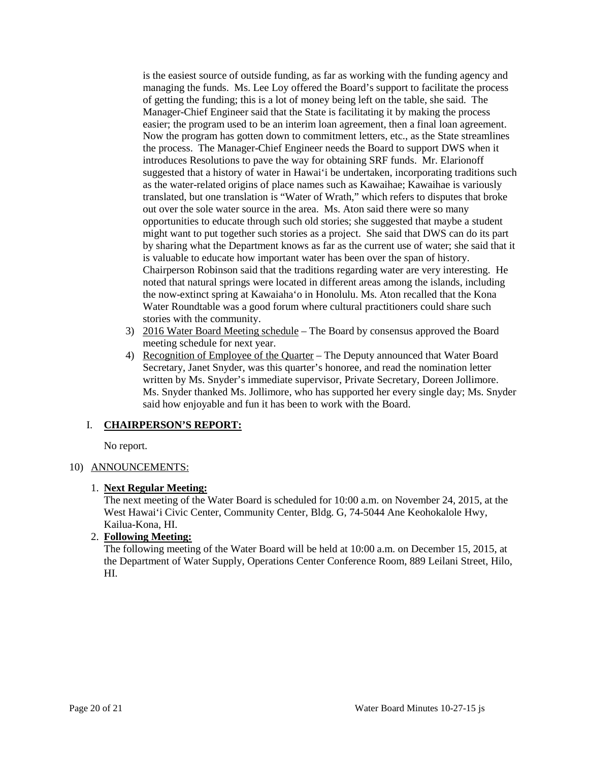managing the funds. Ms. Lee Loy offered the Board's support to facilitate the process of getting the funding; this is a lot of money being left on the table, she said. The Manager-Chief Engineer said that the State is facilitating it by making the process easier; the program used to be an interim loan agreement, then a final loan agreement. the process. The Manager-Chief Engineer needs the Board to support DWS when it as the water-related origins of place names such as Kawaihae; Kawaihae is variously out over the sole water source in the area. Ms. Aton said there were so many opportunities to educate through such old stories; she suggested that maybe a student might want to put together such stories as a project. She said that DWS can do its part by sharing what the Department knows as far as the current use of water; she said that it is valuable to educate how important water has been over the span of history. the now-extinct spring at Kawaiaha'o in Honolulu. Ms. Aton recalled that the Kona is the easiest source of outside funding, as far as working with the funding agency and Now the program has gotten down to commitment letters, etc., as the State streamlines introduces Resolutions to pave the way for obtaining SRF funds. Mr. Elarionoff suggested that a history of water in Hawai'i be undertaken, incorporating traditions such translated, but one translation is "Water of Wrath," which refers to disputes that broke Chairperson Robinson said that the traditions regarding water are very interesting. He noted that natural springs were located in different areas among the islands, including Water Roundtable was a good forum where cultural practitioners could share such stories with the community.

- 3) 2016 Water Board Meeting schedule The Board by consensus approved the Board meeting schedule for next year.
- 4) Recognition of Employee of the Quarter The Deputy announced that Water Board Secretary, Janet Snyder, was this quarter's honoree, and read the nomination letter written by Ms. Snyder's immediate supervisor, Private Secretary, Doreen Jollimore. Ms. Snyder thanked Ms. Jollimore, who has supported her every single day; Ms. Snyder said how enjoyable and fun it has been to work with the Board.

## I. **CHAIRPERSON'S REPORT:**

No report.

## 10) ANNOUNCEMENTS:

### 1. **Next Regular Meeting:**

 The next meeting of the Water Board is scheduled for 10:00 a.m. on November 24, 2015, at the West Hawai'i Civic Center, Community Center, Bldg. G, 74-5044 Ane Keohokalole Hwy, Kailua-Kona, HI.

# 2. **Following Meeting:**

The following meeting of the Water Board will be held at 10:00 a.m. on December 15, 2015, at the Department of Water Supply, Operations Center Conference Room, 889 Leilani Street, Hilo, HI.